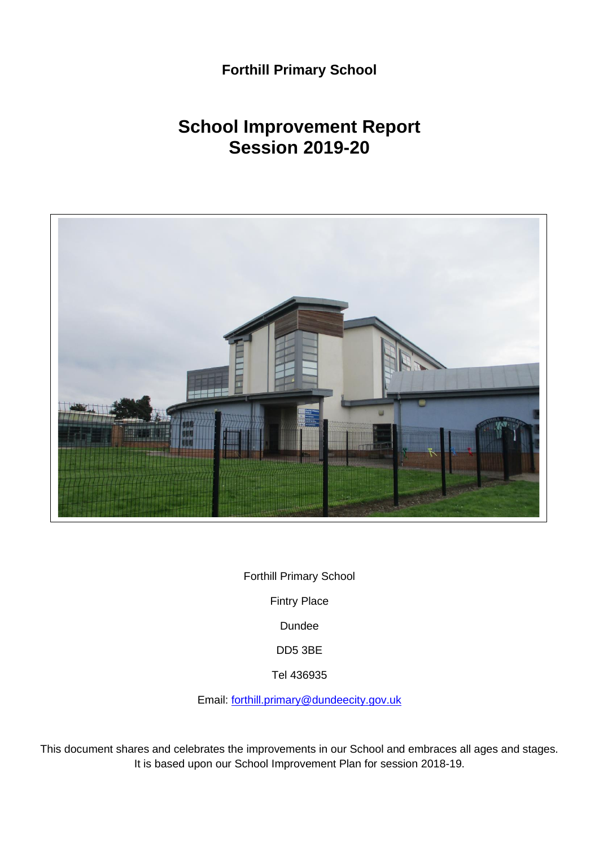## **Forthill Primary School**

# **School Improvement Report Session 2019-20**



Forthill Primary School Fintry Place Dundee DD5 3BE Tel 436935

Email: [forthill.primary@dundeecity.gov.uk](mailto:forthill.primary@dundeecity.gov.uk)

This document shares and celebrates the improvements in our School and embraces all ages and stages. It is based upon our School Improvement Plan for session 2018-19.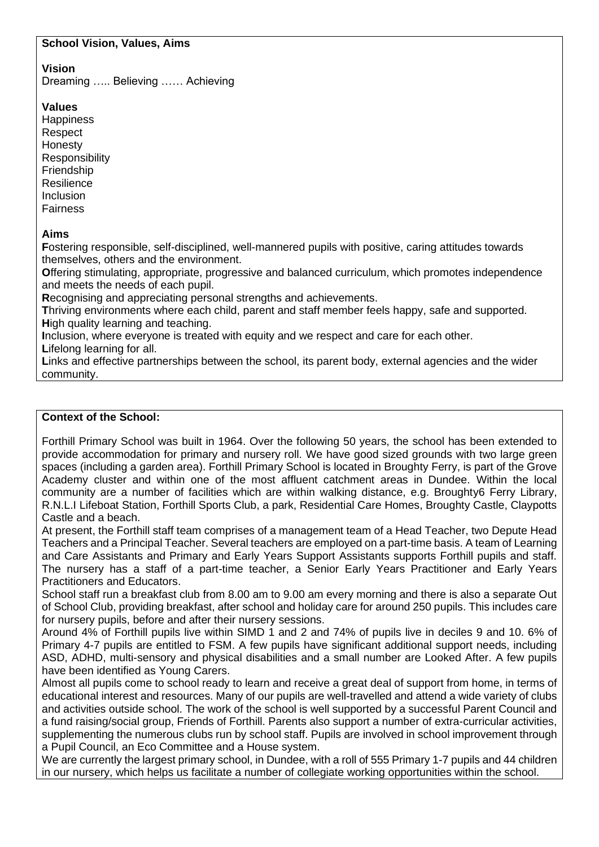#### **School Vision, Values, Aims**

## **Vision**

Dreaming ….. Believing …… Achieving

#### **Values**

**Happiness** Respect Honesty **Responsibility** Friendship Resilience Inclusion **Fairness** 

#### **Aims**

**F**ostering responsible, self-disciplined, well-mannered pupils with positive, caring attitudes towards themselves, others and the environment.

**O**ffering stimulating, appropriate, progressive and balanced curriculum, which promotes independence and meets the needs of each pupil.

**R**ecognising and appreciating personal strengths and achievements.

**T**hriving environments where each child, parent and staff member feels happy, safe and supported. **H**igh quality learning and teaching.

**I**nclusion, where everyone is treated with equity and we respect and care for each other.

**L**ifelong learning for all.

**L**inks and effective partnerships between the school, its parent body, external agencies and the wider community.

## **Context of the School:**

Forthill Primary School was built in 1964. Over the following 50 years, the school has been extended to provide accommodation for primary and nursery roll. We have good sized grounds with two large green spaces (including a garden area). Forthill Primary School is located in Broughty Ferry, is part of the Grove Academy cluster and within one of the most affluent catchment areas in Dundee. Within the local community are a number of facilities which are within walking distance, e.g. Broughty6 Ferry Library, R.N.L.I Lifeboat Station, Forthill Sports Club, a park, Residential Care Homes, Broughty Castle, Claypotts Castle and a beach.

At present, the Forthill staff team comprises of a management team of a Head Teacher, two Depute Head Teachers and a Principal Teacher. Several teachers are employed on a part-time basis. A team of Learning and Care Assistants and Primary and Early Years Support Assistants supports Forthill pupils and staff. The nursery has a staff of a part-time teacher, a Senior Early Years Practitioner and Early Years Practitioners and Educators.

School staff run a breakfast club from 8.00 am to 9.00 am every morning and there is also a separate Out of School Club, providing breakfast, after school and holiday care for around 250 pupils. This includes care for nursery pupils, before and after their nursery sessions.

Around 4% of Forthill pupils live within SIMD 1 and 2 and 74% of pupils live in deciles 9 and 10. 6% of Primary 4-7 pupils are entitled to FSM. A few pupils have significant additional support needs, including ASD, ADHD, multi-sensory and physical disabilities and a small number are Looked After. A few pupils have been identified as Young Carers.

Almost all pupils come to school ready to learn and receive a great deal of support from home, in terms of educational interest and resources. Many of our pupils are well-travelled and attend a wide variety of clubs and activities outside school. The work of the school is well supported by a successful Parent Council and a fund raising/social group, Friends of Forthill. Parents also support a number of extra-curricular activities, supplementing the numerous clubs run by school staff. Pupils are involved in school improvement through a Pupil Council, an Eco Committee and a House system.

We are currently the largest primary school, in Dundee, with a roll of 555 Primary 1-7 pupils and 44 children in our nursery, which helps us facilitate a number of collegiate working opportunities within the school.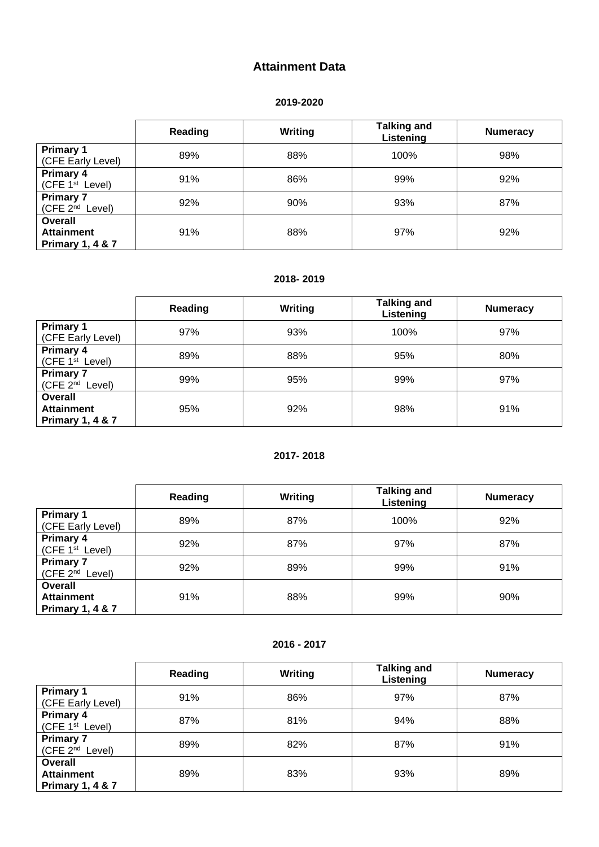#### **Attainment Data**

#### **2019 -2020**

|                                                             | Reading | Writing | <b>Talking and</b><br>Listening | <b>Numeracy</b> |
|-------------------------------------------------------------|---------|---------|---------------------------------|-----------------|
| <b>Primary 1</b><br>(CFE Early Level)                       | 89%     | 88%     | 100%                            | 98%             |
| <b>Primary 4</b><br>(CFE $1st$ Level)                       | 91%     | 86%     | 99%                             | 92%             |
| <b>Primary 7</b><br>(CFE 2 <sup>nd</sup> Level)             | 92%     | 90%     | 93%                             | 87%             |
| Overall<br><b>Attainment</b><br><b>Primary 1, 4 &amp; 7</b> | 91%     | 88%     | 97%                             | 92%             |

#### **2018 - 2019**

|                                                             | Reading | <b>Writing</b> | <b>Talking and</b><br>Listening | <b>Numeracy</b> |
|-------------------------------------------------------------|---------|----------------|---------------------------------|-----------------|
| <b>Primary 1</b><br>(CFE Early Level)                       | 97%     | 93%            | 100%                            | 97%             |
| <b>Primary 4</b><br>(CFE 1 <sup>st</sup> Level)             | 89%     | 88%            | 95%                             | 80%             |
| <b>Primary 7</b><br>(CFE 2 <sup>nd</sup> Level)             | 99%     | 95%            | 99%                             | 97%             |
| Overall<br><b>Attainment</b><br><b>Primary 1, 4 &amp; 7</b> | 95%     | 92%            | 98%                             | 91%             |

#### **2017 - 2018**

|                                                                    | Reading | Writing | <b>Talking and</b><br>Listening | <b>Numeracy</b> |
|--------------------------------------------------------------------|---------|---------|---------------------------------|-----------------|
| <b>Primary 1</b><br>(CFE Early Level)                              | 89%     | 87%     | 100%                            | 92%             |
| <b>Primary 4</b><br>(CFE 1 <sup>st</sup> Level)                    | 92%     | 87%     | 97%                             | 87%             |
| <b>Primary 7</b><br>(CFE 2 <sup>nd</sup> Level)                    | 92%     | 89%     | 99%                             | 91%             |
| <b>Overall</b><br><b>Attainment</b><br><b>Primary 1, 4 &amp; 7</b> | 91%     | 88%     | 99%                             | 90%             |

#### **2016 - 2017**

|                                                                    | Reading | Writing | <b>Talking and</b><br>Listening | <b>Numeracy</b> |
|--------------------------------------------------------------------|---------|---------|---------------------------------|-----------------|
| <b>Primary 1</b><br>(CFE Early Level)                              | 91%     | 86%     | 97%                             | 87%             |
| <b>Primary 4</b><br>(CFE $1st$ Level)                              | 87%     | 81%     | 94%                             | 88%             |
| <b>Primary 7</b><br>(CFE 2 <sup>nd</sup> Level)                    | 89%     | 82%     | 87%                             | 91%             |
| <b>Overall</b><br><b>Attainment</b><br><b>Primary 1, 4 &amp; 7</b> | 89%     | 83%     | 93%                             | 89%             |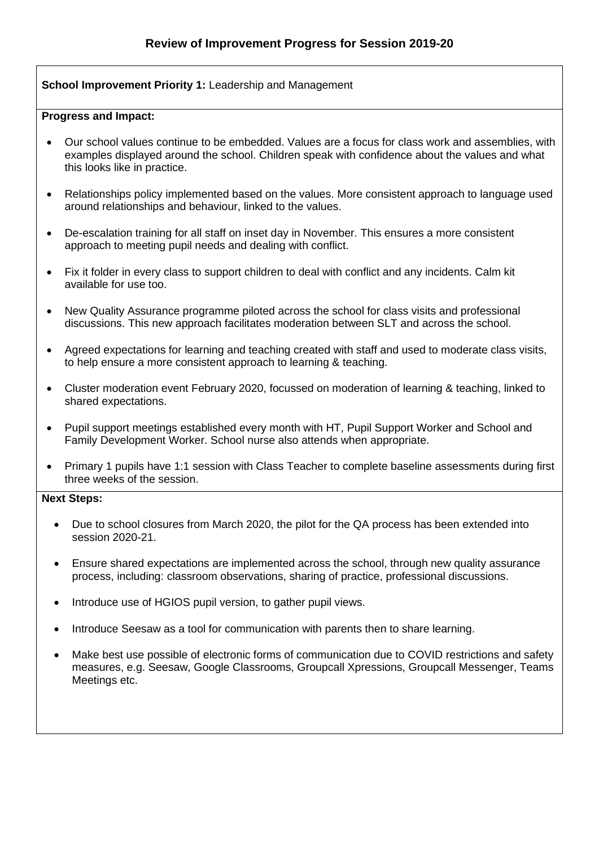#### **School Improvement Priority 1:** Leadership and Management

#### **Progress and Impact:**

- Our school values continue to be embedded. Values are a focus for class work and assemblies, with examples displayed around the school. Children speak with confidence about the values and what this looks like in practice.
- Relationships policy implemented based on the values. More consistent approach to language used around relationships and behaviour, linked to the values.
- De-escalation training for all staff on inset day in November. This ensures a more consistent approach to meeting pupil needs and dealing with conflict.
- Fix it folder in every class to support children to deal with conflict and any incidents. Calm kit available for use too.
- New Quality Assurance programme piloted across the school for class visits and professional discussions. This new approach facilitates moderation between SLT and across the school.
- Agreed expectations for learning and teaching created with staff and used to moderate class visits, to help ensure a more consistent approach to learning & teaching.
- Cluster moderation event February 2020, focussed on moderation of learning & teaching, linked to shared expectations.
- Pupil support meetings established every month with HT, Pupil Support Worker and School and Family Development Worker. School nurse also attends when appropriate.
- Primary 1 pupils have 1:1 session with Class Teacher to complete baseline assessments during first three weeks of the session.

#### **Next Steps:**

- Due to school closures from March 2020, the pilot for the QA process has been extended into session 2020-21.
- Ensure shared expectations are implemented across the school, through new quality assurance process, including: classroom observations, sharing of practice, professional discussions.
- Introduce use of HGIOS pupil version, to gather pupil views.
- Introduce Seesaw as a tool for communication with parents then to share learning.
- Make best use possible of electronic forms of communication due to COVID restrictions and safety measures, e.g. Seesaw, Google Classrooms, Groupcall Xpressions, Groupcall Messenger, Teams Meetings etc.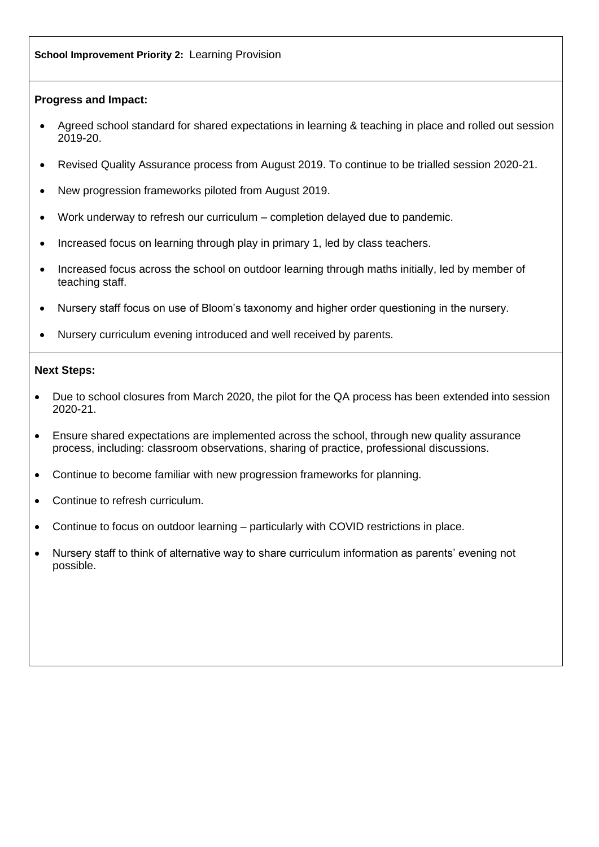#### **Progress and Impact:**

- Agreed school standard for shared expectations in learning & teaching in place and rolled out session 2019-20.
- Revised Quality Assurance process from August 2019. To continue to be trialled session 2020-21.
- New progression frameworks piloted from August 2019.
- Work underway to refresh our curriculum completion delayed due to pandemic.
- Increased focus on learning through play in primary 1, led by class teachers.
- Increased focus across the school on outdoor learning through maths initially, led by member of teaching staff.
- Nursery staff focus on use of Bloom's taxonomy and higher order questioning in the nursery.
- Nursery curriculum evening introduced and well received by parents.

#### **Next Steps:**

- Due to school closures from March 2020, the pilot for the QA process has been extended into session 2020-21.
- Ensure shared expectations are implemented across the school, through new quality assurance process, including: classroom observations, sharing of practice, professional discussions.
- Continue to become familiar with new progression frameworks for planning.
- Continue to refresh curriculum.
- Continue to focus on outdoor learning particularly with COVID restrictions in place.
- Nursery staff to think of alternative way to share curriculum information as parents' evening not possible.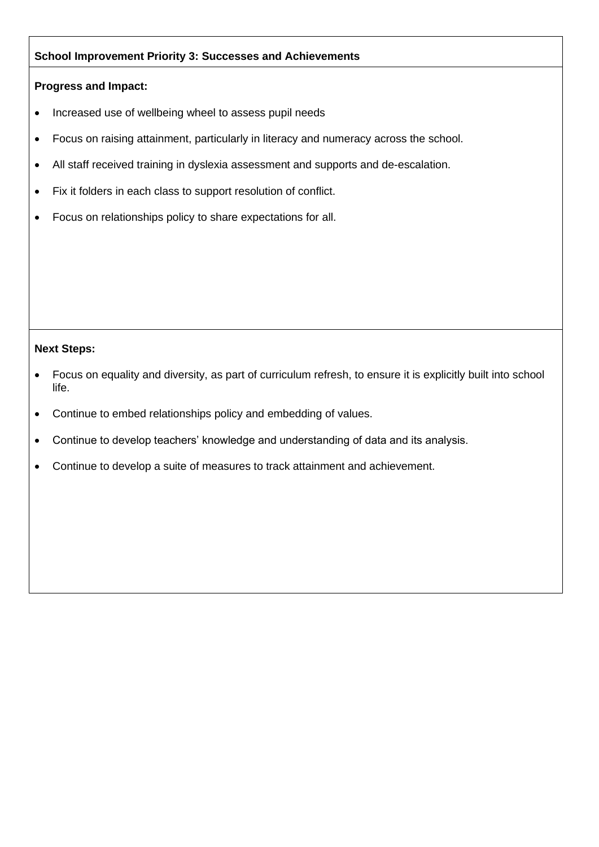## **School Improvement Priority 3: Successes and Achievements**

#### **Progress and Impact:**

- Increased use of wellbeing wheel to assess pupil needs
- Focus on raising attainment, particularly in literacy and numeracy across the school.
- All staff received training in dyslexia assessment and supports and de-escalation.
- Fix it folders in each class to support resolution of conflict.
- Focus on relationships policy to share expectations for all.

#### **Next Steps:**

- Focus on equality and diversity, as part of curriculum refresh, to ensure it is explicitly built into school life.
- Continue to embed relationships policy and embedding of values.
- Continue to develop teachers' knowledge and understanding of data and its analysis.
- Continue to develop a suite of measures to track attainment and achievement.